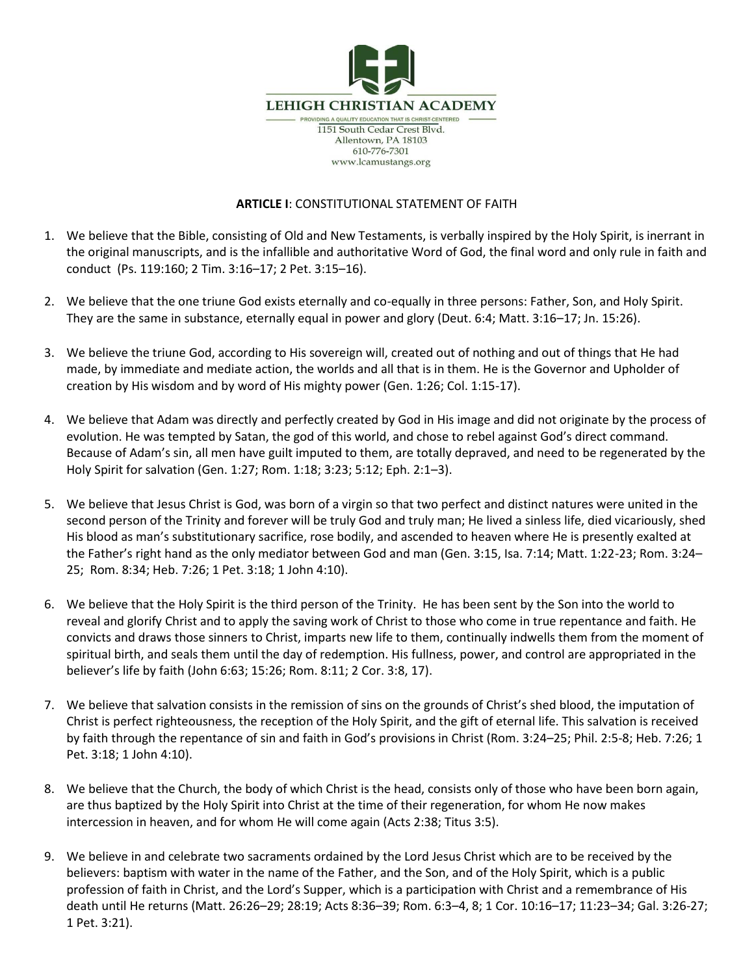

## **ARTICLE I**: CONSTITUTIONAL STATEMENT OF FAITH

- 1. We believe that the Bible, consisting of Old and New Testaments, is verbally inspired by the Holy Spirit, is inerrant in the original manuscripts, and is the infallible and authoritative Word of God, the final word and only rule in faith and conduct (Ps. 119:160; 2 Tim. 3:16–17; 2 Pet. 3:15–16).
- 2. We believe that the one triune God exists eternally and co-equally in three persons: Father, Son, and Holy Spirit. They are the same in substance, eternally equal in power and glory (Deut. 6:4; Matt. 3:16–17; Jn. 15:26).
- 3. We believe the triune God, according to His sovereign will, created out of nothing and out of things that He had made, by immediate and mediate action, the worlds and all that is in them. He is the Governor and Upholder of creation by His wisdom and by word of His mighty power (Gen. 1:26; Col. 1:15-17).
- 4. We believe that Adam was directly and perfectly created by God in His image and did not originate by the process of evolution. He was tempted by Satan, the god of this world, and chose to rebel against God's direct command. Because of Adam's sin, all men have guilt imputed to them, are totally depraved, and need to be regenerated by the Holy Spirit for salvation (Gen. 1:27; Rom. 1:18; 3:23; 5:12; Eph. 2:1–3).
- 5. We believe that Jesus Christ is God, was born of a virgin so that two perfect and distinct natures were united in the second person of the Trinity and forever will be truly God and truly man; He lived a sinless life, died vicariously, shed His blood as man's substitutionary sacrifice, rose bodily, and ascended to heaven where He is presently exalted at the Father's right hand as the only mediator between God and man (Gen. 3:15, Isa. 7:14; Matt. 1:22-23; Rom. 3:24– 25; Rom. 8:34; Heb. 7:26; 1 Pet. 3:18; 1 John 4:10).
- 6. We believe that the Holy Spirit is the third person of the Trinity. He has been sent by the Son into the world to reveal and glorify Christ and to apply the saving work of Christ to those who come in true repentance and faith. He convicts and draws those sinners to Christ, imparts new life to them, continually indwells them from the moment of spiritual birth, and seals them until the day of redemption. His fullness, power, and control are appropriated in the believer's life by faith (John 6:63; 15:26; Rom. 8:11; 2 Cor. 3:8, 17).
- 7. We believe that salvation consists in the remission of sins on the grounds of Christ's shed blood, the imputation of Christ is perfect righteousness, the reception of the Holy Spirit, and the gift of eternal life. This salvation is received by faith through the repentance of sin and faith in God's provisions in Christ (Rom. 3:24–25; Phil. 2:5-8; Heb. 7:26; 1 Pet. 3:18; 1 John 4:10).
- 8. We believe that the Church, the body of which Christ is the head, consists only of those who have been born again, are thus baptized by the Holy Spirit into Christ at the time of their regeneration, for whom He now makes intercession in heaven, and for whom He will come again (Acts 2:38; Titus 3:5).
- 9. We believe in and celebrate two sacraments ordained by the Lord Jesus Christ which are to be received by the believers: baptism with water in the name of the Father, and the Son, and of the Holy Spirit, which is a public profession of faith in Christ, and the Lord's Supper, which is a participation with Christ and a remembrance of His death until He returns (Matt. 26:26–29; 28:19; Acts 8:36–39; Rom. 6:3–4, 8; 1 Cor. 10:16–17; 11:23–34; Gal. 3:26-27; 1 Pet. 3:21).